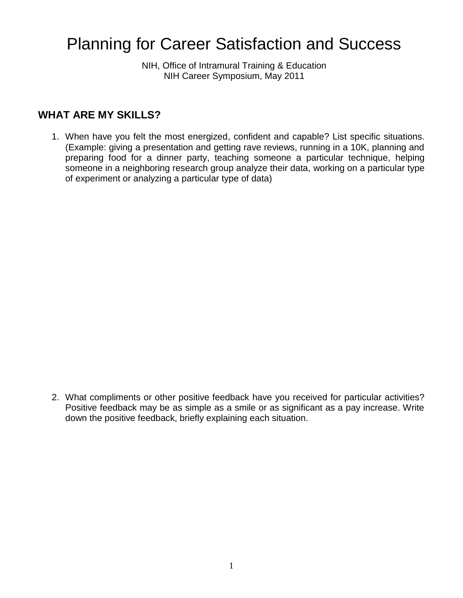# Planning for Career Satisfaction and Success

NIH, Office of Intramural Training & Education NIH Career Symposium, May 2011

#### **WHAT ARE MY SKILLS?**

1. When have you felt the most energized, confident and capable? List specific situations. (Example: giving a presentation and getting rave reviews, running in a 10K, planning and preparing food for a dinner party, teaching someone a particular technique, helping someone in a neighboring research group analyze their data, working on a particular type of experiment or analyzing a particular type of data)

2. What compliments or other positive feedback have you received for particular activities? Positive feedback may be as simple as a smile or as significant as a pay increase. Write down the positive feedback, briefly explaining each situation.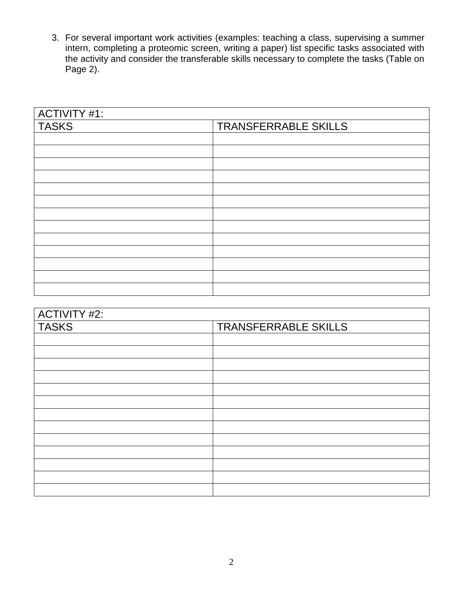3. For several important work activities (examples: teaching a class, supervising a summer intern, completing a proteomic screen, writing a paper) list specific tasks associated with the activity and consider the transferable skills necessary to complete the tasks (Table on Page 2).

| <b>ACTIVITY #1:</b> |                             |
|---------------------|-----------------------------|
| <b>TASKS</b>        | <b>TRANSFERRABLE SKILLS</b> |
|                     |                             |
|                     |                             |
|                     |                             |
|                     |                             |
|                     |                             |
|                     |                             |
|                     |                             |
|                     |                             |
|                     |                             |
|                     |                             |
|                     |                             |
|                     |                             |
|                     |                             |

| <b>ACTIVITY #2:</b> |                             |
|---------------------|-----------------------------|
| <b>TASKS</b>        | <b>TRANSFERRABLE SKILLS</b> |
|                     |                             |
|                     |                             |
|                     |                             |
|                     |                             |
|                     |                             |
|                     |                             |
|                     |                             |
|                     |                             |
|                     |                             |
|                     |                             |
|                     |                             |
|                     |                             |
|                     |                             |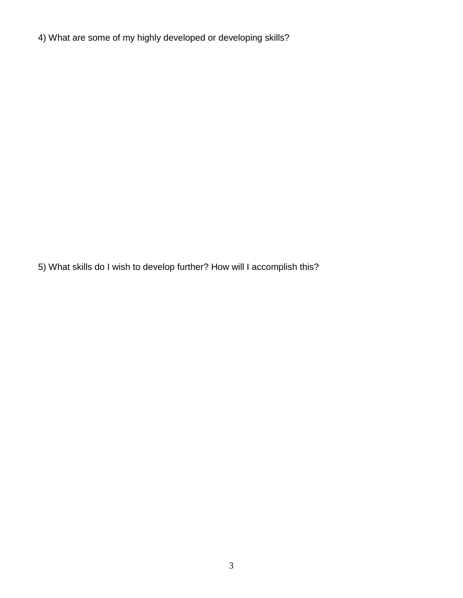4) What are some of my highly developed or developing skills?

5) What skills do I wish to develop further? How will I accomplish this?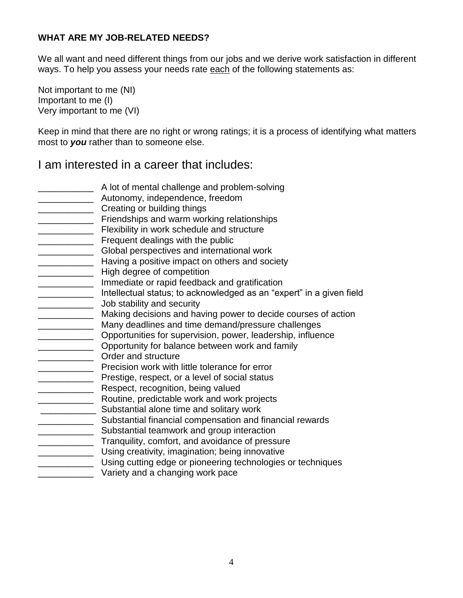#### **WHAT ARE MY JOB-RELATED NEEDS?**

We all want and need different things from our jobs and we derive work satisfaction in different ways. To help you assess your needs rate each of the following statements as:

Not important to me (NI) Important to me (I) Very important to me (VI)

Keep in mind that there are no right or wrong ratings; it is a process of identifying what matters most to *you* rather than to someone else.

## I am interested in a career that includes:

| $\overline{\phantom{a}}$<br>$\overline{\phantom{a}}$                                                                                                                                                                                                                                                                                                                                                                                                                                                                                                                                                                                                                                                                                                                                                                                                                                                           | A lot of mental challenge and problem-solving<br>Autonomy, independence, freedom<br>Creating or building things<br>Friendships and warm working relationships<br>Flexibility in work schedule and structure<br>Frequent dealings with the public<br>Global perspectives and international work<br>Having a positive impact on others and society<br>High degree of competition |
|----------------------------------------------------------------------------------------------------------------------------------------------------------------------------------------------------------------------------------------------------------------------------------------------------------------------------------------------------------------------------------------------------------------------------------------------------------------------------------------------------------------------------------------------------------------------------------------------------------------------------------------------------------------------------------------------------------------------------------------------------------------------------------------------------------------------------------------------------------------------------------------------------------------|--------------------------------------------------------------------------------------------------------------------------------------------------------------------------------------------------------------------------------------------------------------------------------------------------------------------------------------------------------------------------------|
| $\begin{tabular}{ccccc} \multicolumn{2}{c }{\textbf{1} & \multicolumn{2}{c }{\textbf{2} & \multicolumn{2}{c }{\textbf{3} & \multicolumn{2}{c }{\textbf{4} & \multicolumn{2}{c }{\textbf{5} & \multicolumn{2}{c }{\textbf{6} & \multicolumn{2}{c }{\textbf{6} & \multicolumn{2}{c }{\textbf{6} & \multicolumn{2}{c }{\textbf{6} & \multicolumn{2}{c }{\textbf{6} & \multicolumn{2}{c }{\textbf{6} & \multicolumn{2}{c }{\textbf{6} & \multicolumn{2}{$<br>$\begin{tabular}{ccccc} \multicolumn{2}{c }{\textbf{1} & \multicolumn{2}{c }{\textbf{2} & \multicolumn{2}{c }{\textbf{3} & \multicolumn{2}{c }{\textbf{4} & \multicolumn{2}{c }{\textbf{5} & \multicolumn{2}{c }{\textbf{6} & \multicolumn{2}{c }{\textbf{6} & \multicolumn{2}{c }{\textbf{6} & \multicolumn{2}{c }{\textbf{6} & \multicolumn{2}{c }{\textbf{6} & \multicolumn{2}{c }{\textbf{6} & \multicolumn{2}{c }{\textbf{6} & \multicolumn{2}{$ | Immediate or rapid feedback and gratification<br>Intellectual status; to acknowledged as an "expert" in a given field<br>Job stability and security<br>Making decisions and having power to decide courses of action                                                                                                                                                           |
|                                                                                                                                                                                                                                                                                                                                                                                                                                                                                                                                                                                                                                                                                                                                                                                                                                                                                                                | Many deadlines and time demand/pressure challenges<br>Opportunities for supervision, power, leadership, influence<br>Opportunity for balance between work and family<br>Order and structure                                                                                                                                                                                    |
|                                                                                                                                                                                                                                                                                                                                                                                                                                                                                                                                                                                                                                                                                                                                                                                                                                                                                                                | Precision work with little tolerance for error<br>Prestige, respect, or a level of social status<br>Respect, recognition, being valued<br>Routine, predictable work and work projects                                                                                                                                                                                          |
|                                                                                                                                                                                                                                                                                                                                                                                                                                                                                                                                                                                                                                                                                                                                                                                                                                                                                                                | Substantial alone time and solitary work<br>Substantial financial compensation and financial rewards<br>Substantial teamwork and group interaction                                                                                                                                                                                                                             |
|                                                                                                                                                                                                                                                                                                                                                                                                                                                                                                                                                                                                                                                                                                                                                                                                                                                                                                                | Tranquility, comfort, and avoidance of pressure<br>Using creativity, imagination; being innovative<br>Using cutting edge or pioneering technologies or techniques<br>Variety and a changing work pace                                                                                                                                                                          |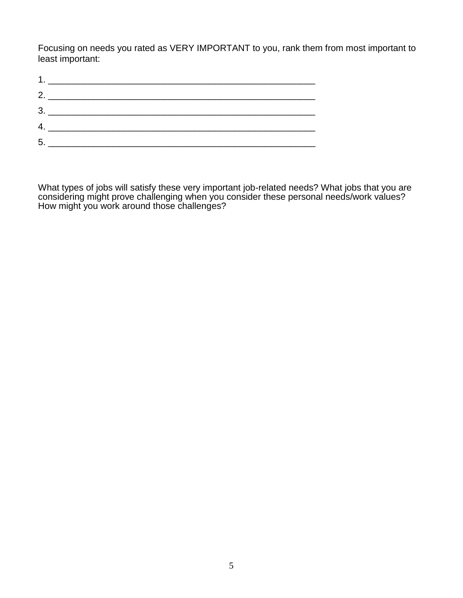Focusing on needs you rated as VERY IMPORTANT to you, rank them from most important to least important:

| 2. $\qquad \qquad$                  |  |
|-------------------------------------|--|
| $\begin{array}{c}\n3.\n\end{array}$ |  |
|                                     |  |
| 5.                                  |  |

What types of jobs will satisfy these very important job-related needs? What jobs that you are considering might prove challenging when you consider these personal needs/work values? How might you work around those challenges?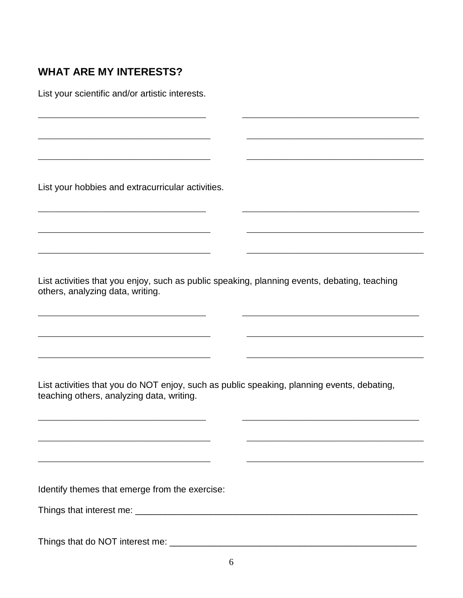## **WHAT ARE MY INTERESTS?**

List your scientific and/or artistic interests.

List your hobbies and extracurricular activities.

List activities that you enjoy, such as public speaking, planning events, debating, teaching others, analyzing data, writing.

List activities that you do NOT enjoy, such as public speaking, planning events, debating, teaching others, analyzing data, writing.

Identify themes that emerge from the exercise: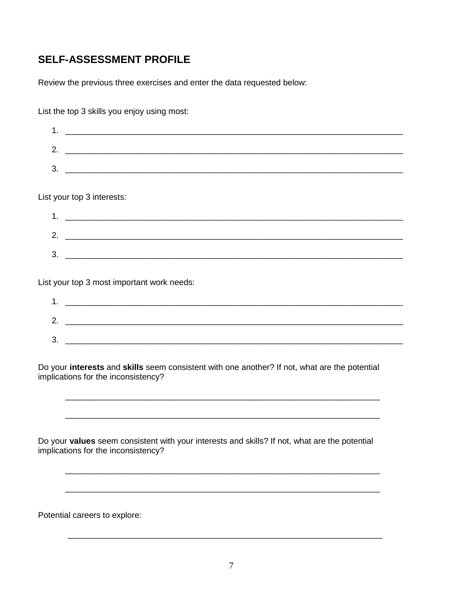### **SELF-ASSESSMENT PROFILE**

Review the previous three exercises and enter the data requested below:

| $\mathbf 1$ |                                                           |
|-------------|-----------------------------------------------------------|
| 2.          |                                                           |
|             |                                                           |
| 3.          |                                                           |
|             |                                                           |
|             | List your top 3 interests:                                |
| $\mathbf 1$ | <u> 1980 - Andrea Andrewski, fransk politik (d. 1980)</u> |
| 2.          |                                                           |
| 3.          |                                                           |
|             |                                                           |
|             | List your top 3 most important work needs:                |
|             | 1.                                                        |
| 2.          |                                                           |

List the top 3 skills you enjoy using most:

Do your interests and skills seem consistent with one another? If not, what are the potential implications for the inconsistency?

Do your values seem consistent with your interests and skills? If not, what are the potential implications for the inconsistency?

Potential careers to explore: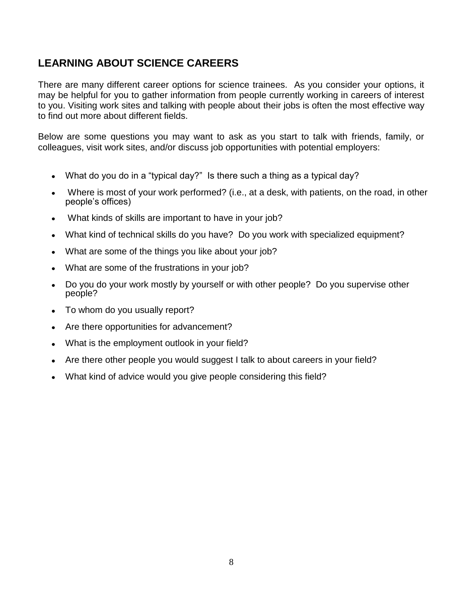### **LEARNING ABOUT SCIENCE CAREERS**

There are many different career options for science trainees. As you consider your options, it may be helpful for you to gather information from people currently working in careers of interest to you. Visiting work sites and talking with people about their jobs is often the most effective way to find out more about different fields.

Below are some questions you may want to ask as you start to talk with friends, family, or colleagues, visit work sites, and/or discuss job opportunities with potential employers:

- What do you do in a "typical day?" Is there such a thing as a typical day?  $\bullet$
- Where is most of your work performed? (i.e., at a desk, with patients, on the road, in other  $\bullet$ people's offices)
- What kinds of skills are important to have in your job?  $\bullet$
- What kind of technical skills do you have? Do you work with specialized equipment?  $\bullet$
- What are some of the things you like about your job?  $\bullet$
- What are some of the frustrations in your job?  $\bullet$
- Do you do your work mostly by yourself or with other people? Do you supervise other  $\bullet$ people?
- To whom do you usually report?
- Are there opportunities for advancement?
- What is the employment outlook in your field?
- Are there other people you would suggest I talk to about careers in your field?
- What kind of advice would you give people considering this field?